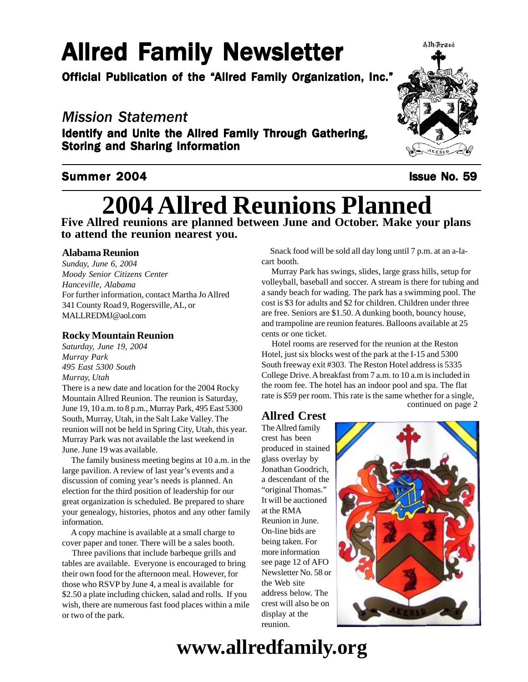# **Allred Family Newsletter**

Official Publication of the "Allred Family Organization, Inc."

## *Mission Statement*

Identify and Unite the Allred Family Through Gathering, Storing and Sharing Information

## Summer 2004 **ISSUE No. 59**

# Alh-Kraed

# **2004 Allred Reunions Planned**

**Five Allred reunions are planned between June and October. Make your plans to attend the reunion nearest you.**

## **Alabama Reunion**

 *Moody Senior Citizens Center Sunday, June 6, 2004 Hanceville, Alabama* For further information, contact Martha Jo Allred 341 County Road 9, Rogersville, AL, or MALLREDMJ@aol.com

## **Rocky Mountain Reunion**

*Saturday, June 19, 2004 Murray Park 495 East 5300 South Murray, Utah*

There is a new date and location for the 2004 Rocky Mountain Allred Reunion. The reunion is Saturday, June 19, 10 a.m. to 8 p.m., Murray Park, 495 East 5300 South, Murray, Utah, in the Salt Lake Valley. The reunion will not be held in Spring City, Utah, this year. Murray Park was not available the last weekend in June. June 19 was available.

 The family business meeting begins at 10 a.m. in the large pavilion. A review of last year's events and a discussion of coming year's needs is planned. An election for the third position of leadership for our great organization is scheduled. Be prepared to share your genealogy, histories, photos and any other family information.

 A copy machine is available at a small charge to cover paper and toner. There will be a sales booth.

 Three pavilions that include barbeque grills and tables are available. Everyone is encouraged to bring their own food for the afternoon meal. However, for those who RSVP by June 4, a meal is available for \$2.50 a plate including chicken, salad and rolls. If you wish, there are numerous fast food places within a mile or two of the park.

 Snack food will be sold all day long until 7 p.m. at an a-lacart booth.

 Murray Park has swings, slides, large grass hills, setup for volleyball, baseball and soccer. A stream is there for tubing and a sandy beach for wading. The park has a swimming pool. The cost is \$3 for adults and \$2 for children. Children under three are free. Seniors are \$1.50. A dunking booth, bouncy house, and trampoline are reunion features. Balloons available at 25 cents or one ticket.

 Hotel rooms are reserved for the reunion at the Reston Hotel, just six blocks west of the park at the I-15 and 5300 South freeway exit #303. The Reston Hotel address is 5335 College Drive. A breakfast from 7 a.m. to 10 a.m is included in the room fee. The hotel has an indoor pool and spa. The flat rate is \$59 per room. This rate is the same whether for a single, continued on page 2

## **Allred Crest**

The Allred family crest has been produced in stained glass overlay by Jonathan Goodrich, a descendant of the "original Thomas." It will be auctioned at the RMA Reunion in June. On-line bids are being taken. For more information see page 12 of AFO Newsletter No. 58 or the Web site address below. The crest will also be on display at the reunion.



## **www.allredfamily.org**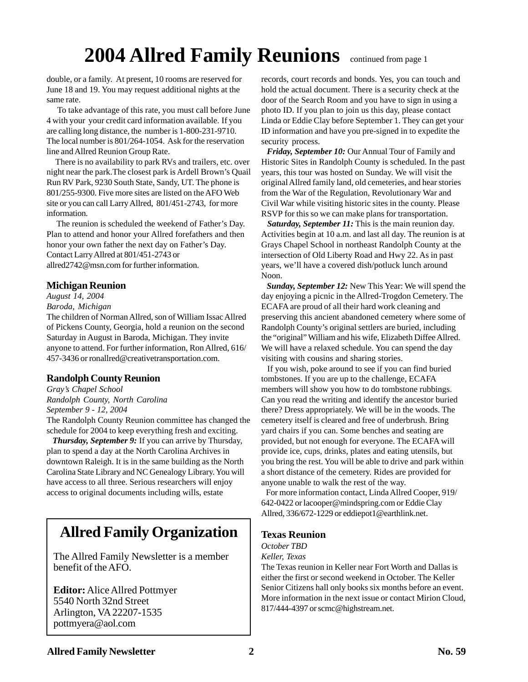## **2004 Allred Family Reunions** continued from page 1

double, or a family. At present, 10 rooms are reserved for June 18 and 19. You may request additional nights at the same rate.

 To take advantage of this rate, you must call before June 4 with your your credit card information available. If you are calling long distance, the number is 1-800-231-9710. The local number is 801/264-1054. Ask for the reservation line and Allred Reunion Group Rate.

 There is no availability to park RVs and trailers, etc. over night near the park.The closest park is Ardell Brown's Quail Run RV Park, 9230 South State, Sandy, UT. The phone is 801/255-9300. Five more sites are listed on the AFO Web site or you can call Larry Allred, 801/451-2743, for more information.

 The reunion is scheduled the weekend of Father's Day. Plan to attend and honor your Allred forefathers and then honor your own father the next day on Father's Day. Contact Larry Allred at 801/451-2743 or allred2742@msn.com for further information.

## **Michigan Reunion**

## *August 14, 2004*

*Baroda, Michigan*

The children of Norman Allred, son of William Issac Allred of Pickens County, Georgia, hold a reunion on the second Saturday in August in Baroda, Michigan. They invite anyone to attend. For further information, Ron Allred, 616/ 457-3436 or ronallred@creativetransportation.com.

## **Randolph County Reunion**

*Gray's Chapel School Randolph County, North Carolina September 9 - 12, 2004*

The Randolph County Reunion committee has changed the schedule for 2004 to keep everything fresh and exciting.

 *Thursday, September 9:* If you can arrive by Thursday, plan to spend a day at the North Carolina Archives in downtown Raleigh. It is in the same building as the North Carolina State Library and NC Genealogy Library. You will have access to all three. Serious researchers will enjoy access to original documents including wills, estate

## **Allred Family Organization**

The Allred Family Newsletter is a member benefit of the AFO.

**Editor:** Alice Allred Pottmyer 5540 North 32nd Street Arlington, VA 22207-1535 pottmyera@aol.com

records, court records and bonds. Yes, you can touch and hold the actual document. There is a security check at the door of the Search Room and you have to sign in using a photo ID. If you plan to join us this day, please contact Linda or Eddie Clay before September 1. They can get your ID information and have you pre-signed in to expedite the security process.

 *Friday, September 10:* Our Annual Tour of Family and Historic Sites in Randolph County is scheduled. In the past years, this tour was hosted on Sunday. We will visit the original Allred family land, old cemeteries, and hear stories from the War of the Regulation, Revolutionary War and Civil War while visiting historic sites in the county. Please RSVP for this so we can make plans for transportation.

 *Saturday, September 11:* This is the main reunion day. Activities begin at 10 a.m. and last all day. The reunion is at Grays Chapel School in northeast Randolph County at the intersection of Old Liberty Road and Hwy 22. As in past years, we'll have a covered dish/potluck lunch around Noon.

 *Sunday, September 12:* New This Year: We will spend the day enjoying a picnic in the Allred-Trogdon Cemetery. The ECAFA are proud of all their hard work cleaning and preserving this ancient abandoned cemetery where some of Randolph County's original settlers are buried, including the "original" William and his wife, Elizabeth Diffee Allred. We will have a relaxed schedule. You can spend the day visiting with cousins and sharing stories.

 If you wish, poke around to see if you can find buried tombstones. If you are up to the challenge, ECAFA members will show you how to do tombstone rubbings. Can you read the writing and identify the ancestor buried there? Dress appropriately. We will be in the woods. The cemetery itself is cleared and free of underbrush. Bring yard chairs if you can. Some benches and seating are provided, but not enough for everyone. The ECAFA will provide ice, cups, drinks, plates and eating utensils, but you bring the rest. You will be able to drive and park within a short distance of the cemetery. Rides are provided for anyone unable to walk the rest of the way.

 For more information contact, Linda Allred Cooper, 919/ 642-0422 or lacooper@mindspring.com or Eddie Clay Allred, 336/672-1229 or eddiepot1@earthlink.net.

## **Texas Reunion**

*October TBD*

*Keller, Texas*

The Texas reunion in Keller near Fort Worth and Dallas is either the first or second weekend in October. The Keller Senior Citizens hall only books six months before an event. More information in the next issue or contact Mirion Cloud, 817/444-4397 or scmc@highstream.net.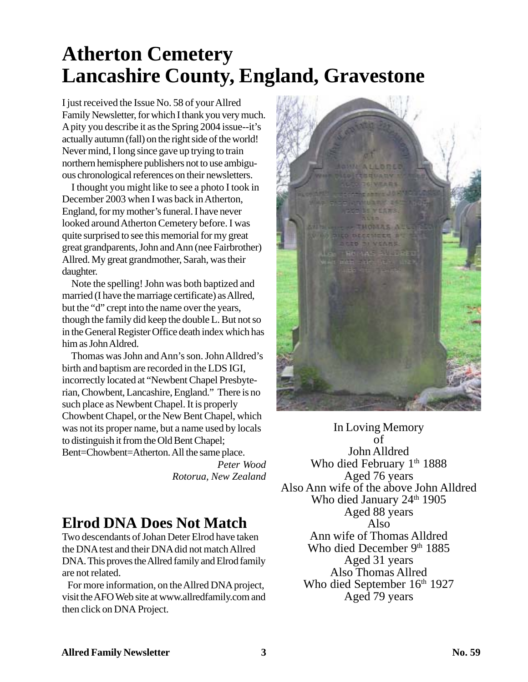## **Atherton Cemetery Lancashire County, England, Gravestone**

I just received the Issue No. 58 of your Allred Family Newsletter, for which I thank you very much. A pity you describe it as the Spring 2004 issue--it's actually autumn (fall) on the right side of the world! Never mind, I long since gave up trying to train northern hemisphere publishers not to use ambiguous chronological references on their newsletters.

 I thought you might like to see a photo I took in December 2003 when I was back in Atherton, England, for my mother's funeral. I have never looked around Atherton Cemetery before. I was quite surprised to see this memorial for my great great grandparents, John and Ann (nee Fairbrother) Allred. My great grandmother, Sarah, was their daughter.

 Note the spelling! John was both baptized and married (I have the marriage certificate) as Allred, but the "d" crept into the name over the years, though the family did keep the double L. But not so in the General Register Office death index which has him as John Aldred.

 Thomas was John and Ann's son. John Alldred's birth and baptism are recorded in the LDS IGI, incorrectly located at "Newbent Chapel Presbyterian, Chowbent, Lancashire, England." There is no such place as Newbent Chapel. It is properly Chowbent Chapel, or the New Bent Chapel, which was not its proper name, but a name used by locals to distinguish it from the Old Bent Chapel; Bent=Chowbent=Atherton. All the same place.

*Peter Wood Rotorua, New Zealand*

## **Elrod DNA Does Not Match**

Two descendants of Johan Deter Elrod have taken the DNA test and their DNA did not match Allred DNA. This proves the Allred family and Elrod family are not related.

 For more information, on the Allred DNA project, visit the AFO Web site at www.allredfamily.com and then click on DNA Project.



In Loving Memory of John Alldred Who died February 1<sup>th</sup> 1888 Aged 76 years Also Ann wife of the above John Alldred Who died January 24<sup>th</sup> 1905 Aged 88 years Also Ann wife of Thomas Alldred Who died December 9th 1885 Aged 31 years Also Thomas Allred Who died September 16th 1927 Aged 79 years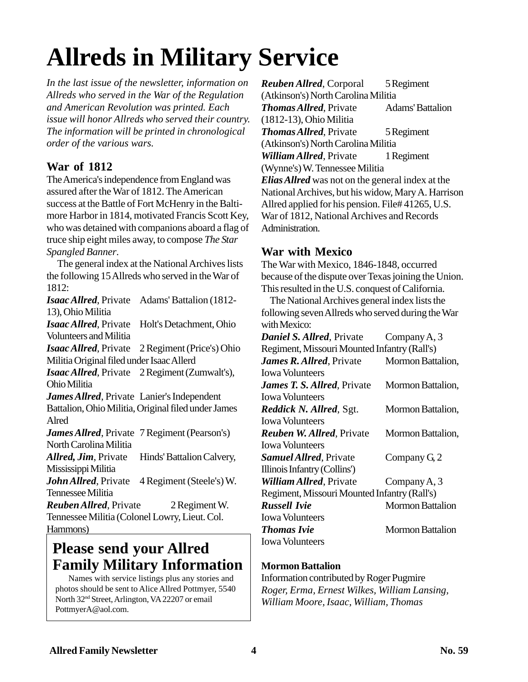# **Allreds in Military Service**

*In the last issue of the newsletter, information on Allreds who served in the War of the Regulation and American Revolution was printed. Each issue will honor Allreds who served their country. The information will be printed in chronological order of the various wars.*

## **War of 1812**

The America's independence from England was assured after the War of 1812. The American success at the Battle of Fort McHenry in the Baltimore Harbor in 1814, motivated Francis Scott Key, who was detained with companions aboard a flag of truce ship eight miles away, to compose *The Star Spangled Banner*.

 The general index at the National Archives lists the following 15 Allreds who served in the War of 1812:

*Isaac Allred*, Private Adams' Battalion (1812- 13), Ohio Militia *Isaac Allred*, Private Holt's Detachment, Ohio

Volunteers and Militia *Isaac Allred*, Private 2 Regiment (Price's) Ohio

Militia Original filed under Isaac Allerd

*Isaac Allred*, Private 2 Regiment (Zumwalt's), Ohio Militia

*James Allred*, Private Lanier's Independent Battalion, Ohio Militia, Original filed under James Alred

*James Allred*, Private 7 Regiment (Pearson's) North Carolina Militia

Allred, *Jim*, Private Hinds' Battalion Calvery, Mississippi Militia

John Allred, Private 4 Regiment (Steele's) W. Tennessee Militia

*Reuben Allred*, Private 2 Regiment W. Tennessee Militia (Colonel Lowry, Lieut. Col. Hammons)

## **Please send your Allred Family Military Information**

 Names with service listings plus any stories and photos should be sent to Alice Allred Pottmyer, 5540 North 32nd Street, Arlington, VA 22207 or email PottmyerA@aol.com.

*Reuben Allred*, Corporal 5 Regiment (Atkinson's) North Carolina Militia *Thomas Allred*, Private Adams' Battalion (1812-13), Ohio Militia **Thomas Allred, Private** 5 Regiment (Atkinson's) North Carolina Militia **William Allred**, Private 1 Regiment (Wynne's) W. Tennessee Militia *Elias Allred* was not on the general index at the National Archives, but his widow, Mary A. Harrison Allred applied for his pension. File# 41265, U.S. War of 1812, National Archives and Records Administration.

## **War with Mexico**

The War with Mexico, 1846-1848, occurred because of the dispute over Texas joining the Union. This resulted in the U.S. conquest of California.

 The National Archives general index lists the following seven Allreds who served during the War with Mexico:

| Company A, 3                                 |
|----------------------------------------------|
| Regiment, Missouri Mounted Infantry (Rall's) |
| Mormon Battalion,                            |
|                                              |
| Mormon Battalion,                            |
|                                              |
| Mormon Battalion,                            |
|                                              |
| Mormon Battalion,                            |
|                                              |
| Company $Gz$                                 |
|                                              |
| Company A, $3$                               |
| Regiment, Missouri Mounted Infantry (Rall's) |
| <b>Mormon Battalion</b>                      |
|                                              |
| Mormon Battalion                             |
|                                              |
|                                              |

## **Mormon Battalion**

Information contributed by Roger Pugmire *Roger, Erma, Ernest Wilkes, William Lansing, William Moore, Isaac, William, Thomas*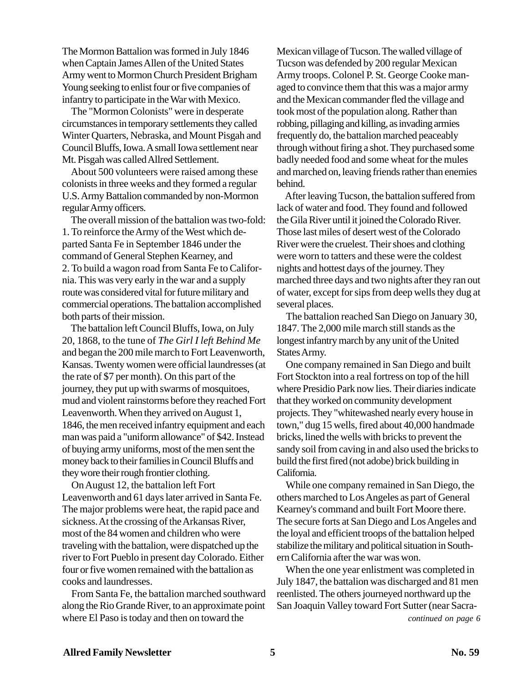The Mormon Battalion was formed in July 1846 when Captain James Allen of the United States Army went to Mormon Church President Brigham Young seeking to enlist four or five companies of infantry to participate in the War with Mexico.

 The "Mormon Colonists" were in desperate circumstances in temporary settlements they called Winter Quarters, Nebraska, and Mount Pisgah and Council Bluffs, Iowa. A small Iowa settlement near Mt. Pisgah was called Allred Settlement.

 About 500 volunteers were raised among these colonists in three weeks and they formed a regular U.S. Army Battalion commanded by non-Mormon regular Army officers.

 The overall mission of the battalion was two-fold: 1. To reinforce the Army of the West which departed Santa Fe in September 1846 under the command of General Stephen Kearney, and 2. To build a wagon road from Santa Fe to California. This was very early in the war and a supply route was considered vital for future military and commercial operations. The battalion accomplished both parts of their mission.

 The battalion left Council Bluffs, Iowa, on July 20, 1868, to the tune of *The Girl I left Behind Me* and began the 200 mile march to Fort Leavenworth, Kansas. Twenty women were official laundresses (at the rate of \$7 per month). On this part of the journey, they put up with swarms of mosquitoes, mud and violent rainstorms before they reached Fort Leavenworth. When they arrived on August 1, 1846, the men received infantry equipment and each man was paid a "uniform allowance" of \$42. Instead of buying army uniforms, most of the men sent the money back to their families in Council Bluffs and they wore their rough frontier clothing.

 On August 12, the battalion left Fort Leavenworth and 61 days later arrived in Santa Fe. The major problems were heat, the rapid pace and sickness. At the crossing of the Arkansas River, most of the 84 women and children who were traveling with the battalion, were dispatched up the river to Fort Pueblo in present day Colorado. Either four or five women remained with the battalion as cooks and laundresses.

 From Santa Fe, the battalion marched southward along the Rio Grande River, to an approximate point where El Paso is today and then on toward the

Mexican village of Tucson. The walled village of Tucson was defended by 200 regular Mexican Army troops. Colonel P. St. George Cooke managed to convince them that this was a major army and the Mexican commander fled the village and took most of the population along. Rather than robbing, pillaging and killing, as invading armies frequently do, the battalion marched peaceably through without firing a shot. They purchased some badly needed food and some wheat for the mules and marched on, leaving friends rather than enemies behind.

 After leaving Tucson, the battalion suffered from lack of water and food. They found and followed the Gila River until it joined the Colorado River. Those last miles of desert west of the Colorado River were the cruelest. Their shoes and clothing were worn to tatters and these were the coldest nights and hottest days of the journey. They marched three days and two nights after they ran out of water, except for sips from deep wells they dug at several places.

 The battalion reached San Diego on January 30, 1847. The 2,000 mile march still stands as the longest infantry march by any unit of the United States Army.

 One company remained in San Diego and built Fort Stockton into a real fortress on top of the hill where Presidio Park now lies. Their diaries indicate that they worked on community development projects. They "whitewashed nearly every house in town," dug 15 wells, fired about 40,000 handmade bricks, lined the wells with bricks to prevent the sandy soil from caving in and also used the bricks to build the first fired (not adobe) brick building in California.

 While one company remained in San Diego, the others marched to Los Angeles as part of General Kearney's command and built Fort Moore there. The secure forts at San Diego and Los Angeles and the loyal and efficient troops of the battalion helped stabilize the military and political situation in Southern California after the war was won.

 When the one year enlistment was completed in July 1847, the battalion was discharged and 81 men reenlisted. The others journeyed northward up the San Joaquin Valley toward Fort Sutter (near Sacra-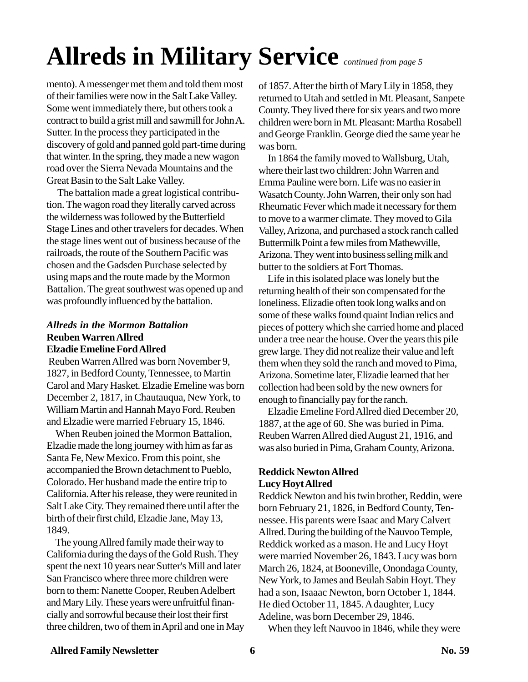# **Allreds in Military Service** *continued from page 5*

mento). A messenger met them and told them most of their families were now in the Salt Lake Valley. Some went immediately there, but others took a contract to build a grist mill and sawmill for John A. Sutter. In the process they participated in the discovery of gold and panned gold part-time during that winter. In the spring, they made a new wagon road over the Sierra Nevada Mountains and the Great Basin to the Salt Lake Valley.

 The battalion made a great logistical contribution. The wagon road they literally carved across the wilderness was followed by the Butterfield Stage Lines and other travelers for decades. When the stage lines went out of business because of the railroads, the route of the Southern Pacific was chosen and the Gadsden Purchase selected by using maps and the route made by the Mormon Battalion. The great southwest was opened up and was profoundly influenced by the battalion.

## *Allreds in the Mormon Battalion* **Reuben Warren Allred Elzadie Emeline Ford Allred**

 Reuben Warren Allred was born November 9, 1827, in Bedford County, Tennessee, to Martin Carol and Mary Hasket. Elzadie Emeline was born December 2, 1817, in Chautauqua, New York, to William Martin and Hannah Mayo Ford. Reuben and Elzadie were married February 15, 1846.

 When Reuben joined the Mormon Battalion, Elzadie made the long journey with him as far as Santa Fe, New Mexico. From this point, she accompanied the Brown detachment to Pueblo, Colorado. Her husband made the entire trip to California. After his release, they were reunited in Salt Lake City. They remained there until after the birth of their first child, Elzadie Jane, May 13, 1849.

 The young Allred family made their way to California during the days of the Gold Rush. They spent the next 10 years near Sutter's Mill and later San Francisco where three more children were born to them: Nanette Cooper, Reuben Adelbert and Mary Lily. These years were unfruitful financially and sorrowful because their lost their first three children, two of them in April and one in May of 1857. After the birth of Mary Lily in 1858, they returned to Utah and settled in Mt. Pleasant, Sanpete County. They lived there for six years and two more children were born in Mt. Pleasant: Martha Rosabell and George Franklin. George died the same year he was born.

 In 1864 the family moved to Wallsburg, Utah, where their last two children: John Warren and Emma Pauline were born. Life was no easier in Wasatch County. John Warren, their only son had Rheumatic Fever which made it necessary for them to move to a warmer climate. They moved to Gila Valley, Arizona, and purchased a stock ranch called Buttermilk Point a few miles from Mathewville, Arizona. They went into business selling milk and butter to the soldiers at Fort Thomas.

 Life in this isolated place was lonely but the returning health of their son compensated for the loneliness. Elizadie often took long walks and on some of these walks found quaint Indian relics and pieces of pottery which she carried home and placed under a tree near the house. Over the years this pile grew large. They did not realize their value and left them when they sold the ranch and moved to Pima, Arizona. Sometime later, Elizadie learned that her collection had been sold by the new owners for enough to financially pay for the ranch.

 Elzadie Emeline Ford Allred died December 20, 1887, at the age of 60. She was buried in Pima. Reuben Warren Allred died August 21, 1916, and was also buried in Pima, Graham County, Arizona.

## **Reddick Newton Allred Lucy Hoyt Allred**

Reddick Newton and his twin brother, Reddin, were born February 21, 1826, in Bedford County, Tennessee. His parents were Isaac and Mary Calvert Allred. During the building of the Nauvoo Temple, Reddick worked as a mason. He and Lucy Hoyt were married November 26, 1843. Lucy was born March 26, 1824, at Booneville, Onondaga County, New York, to James and Beulah Sabin Hoyt. They had a son, Isaaac Newton, born October 1, 1844. He died October 11, 1845. A daughter, Lucy Adeline, was born December 29, 1846.

When they left Nauvoo in 1846, while they were

## Allred Family Newsletter **6** 6 **No. 59**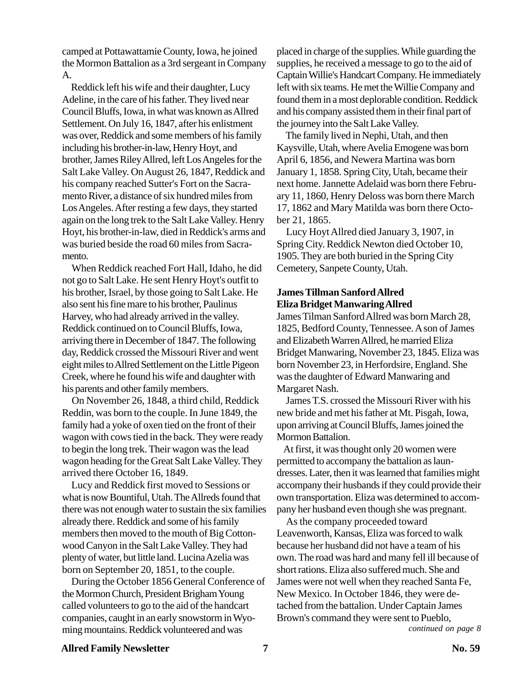camped at Pottawattamie County, Iowa, he joined the Mormon Battalion as a 3rd sergeant in Company A.

 Reddick left his wife and their daughter, Lucy Adeline, in the care of his father. They lived near Council Bluffs, Iowa, in what was known as Allred Settlement. On July 16, 1847, after his enlistment was over, Reddick and some members of his family including his brother-in-law, Henry Hoyt, and brother, James Riley Allred, left Los Angeles for the Salt Lake Valley. On August 26, 1847, Reddick and his company reached Sutter's Fort on the Sacramento River, a distance of six hundred miles from Los Angeles. After resting a few days, they started again on the long trek to the Salt Lake Valley. Henry Hoyt, his brother-in-law, died in Reddick's arms and was buried beside the road 60 miles from Sacramento.

 When Reddick reached Fort Hall, Idaho, he did not go to Salt Lake. He sent Henry Hoyt's outfit to his brother, Israel, by those going to Salt Lake. He also sent his fine mare to his brother, Paulinus Harvey, who had already arrived in the valley. Reddick continued on to Council Bluffs, Iowa, arriving there in December of 1847. The following day, Reddick crossed the Missouri River and went eight miles to Allred Settlement on the Little Pigeon Creek, where he found his wife and daughter with his parents and other family members.

 On November 26, 1848, a third child, Reddick Reddin, was born to the couple. In June 1849, the family had a yoke of oxen tied on the front of their wagon with cows tied in the back. They were ready to begin the long trek. Their wagon was the lead wagon heading for the Great Salt Lake Valley. They arrived there October 16, 1849.

 Lucy and Reddick first moved to Sessions or what is now Bountiful, Utah. The Allreds found that there was not enough water to sustain the six families already there. Reddick and some of his family members then moved to the mouth of Big Cottonwood Canyon in the Salt Lake Valley. They had plenty of water, but little land. Lucina Azelia was born on September 20, 1851, to the couple.

 During the October 1856 General Conference of the Mormon Church, President Brigham Young called volunteers to go to the aid of the handcart companies, caught in an early snowstorm in Wyoming mountains. Reddick volunteered and was

placed in charge of the supplies. While guarding the supplies, he received a message to go to the aid of Captain Willie's Handcart Company. He immediately left with six teams. He met the Willie Company and found them in a most deplorable condition. Reddick and his company assisted them in their final part of the journey into the Salt Lake Valley.

 The family lived in Nephi, Utah, and then Kaysville, Utah, where Avelia Emogene was born April 6, 1856, and Newera Martina was born January 1, 1858. Spring City, Utah, became their next home. Jannette Adelaid was born there February 11, 1860, Henry Deloss was born there March 17, 1862 and Mary Matilda was born there October 21, 1865.

 Lucy Hoyt Allred died January 3, 1907, in Spring City. Reddick Newton died October 10, 1905. They are both buried in the Spring City Cemetery, Sanpete County, Utah.

## **James Tillman Sanford Allred Eliza Bridget Manwaring Allred**

James Tilman Sanford Allred was born March 28, 1825, Bedford County, Tennessee. A son of James and Elizabeth Warren Allred, he married Eliza Bridget Manwaring, November 23, 1845. Eliza was born November 23, in Herfordsire, England. She was the daughter of Edward Manwaring and Margaret Nash.

 James T.S. crossed the Missouri River with his new bride and met his father at Mt. Pisgah, Iowa, upon arriving at Council Bluffs, James joined the Mormon Battalion.

 At first, it was thought only 20 women were permitted to accompany the battalion as laundresses. Later, then it was learned that families might accompany their husbands if they could provide their own transportation. Eliza was determined to accompany her husband even though she was pregnant.

 As the company proceeded toward Leavenworth, Kansas, Eliza was forced to walk because her husband did not have a team of his own. The road was hard and many fell ill because of short rations. Eliza also suffered much. She and James were not well when they reached Santa Fe, New Mexico. In October 1846, they were detached from the battalion. Under Captain James Brown's command they were sent to Pueblo,

*continued on page 8*

## Allred Family Newsletter 7 and 100 Mo. 59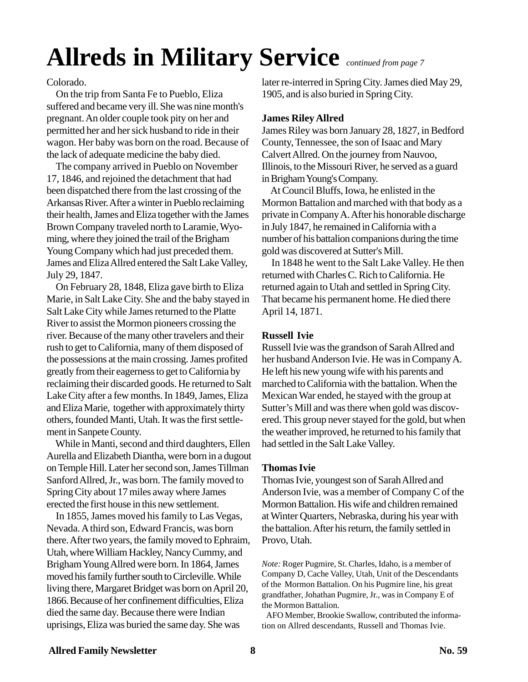# **Allreds in Military Service** *continued from page 7*

Colorado.

 On the trip from Santa Fe to Pueblo, Eliza suffered and became very ill. She was nine month's pregnant. An older couple took pity on her and permitted her and her sick husband to ride in their wagon. Her baby was born on the road. Because of the lack of adequate medicine the baby died.

 The company arrived in Pueblo on November 17, 1846, and rejoined the detachment that had been dispatched there from the last crossing of the Arkansas River. After a winter in Pueblo reclaiming their health, James and Eliza together with the James Brown Company traveled north to Laramie, Wyoming, where they joined the trail of the Brigham Young Company which had just preceded them. James and Eliza Allred entered the Salt Lake Valley, July 29, 1847.

 On February 28, 1848, Eliza gave birth to Eliza Marie, in Salt Lake City. She and the baby stayed in Salt Lake City while James returned to the Platte River to assist the Mormon pioneers crossing the river. Because of the many other travelers and their rush to get to California, many of them disposed of the possessions at the main crossing. James profited greatly from their eagerness to get to California by reclaiming their discarded goods. He returned to Salt Lake City after a few months. In 1849, James, Eliza and Eliza Marie, together with approximately thirty others, founded Manti, Utah. It was the first settlement in Sanpete County.

 While in Manti, second and third daughters, Ellen Aurella and Elizabeth Diantha, were born in a dugout on Temple Hill. Later her second son, James Tillman Sanford Allred, Jr., was born. The family moved to Spring City about 17 miles away where James erected the first house in this new settlement.

 In 1855, James moved his family to Las Vegas, Nevada. A third son, Edward Francis, was born there. After two years, the family moved to Ephraim, Utah, where William Hackley, Nancy Cummy, and Brigham Young Allred were born. In 1864, James moved his family further south to Circleville. While living there, Margaret Bridget was born on April 20, 1866. Because of her confinement difficulties, Eliza died the same day. Because there were Indian uprisings, Eliza was buried the same day. She was

later re-interred in Spring City. James died May 29, 1905, and is also buried in Spring City.

## **James Riley Allred**

James Riley was born January 28, 1827, in Bedford County, Tennessee, the son of Isaac and Mary Calvert Allred. On the journey from Nauvoo, Illinois, to the Missouri River, he served as a guard in Brigham Young's Company.

 At Council Bluffs, Iowa, he enlisted in the Mormon Battalion and marched with that body as a private in Company A. After his honorable discharge in July 1847, he remained in California with a number of his battalion companions during the time gold was discovered at Sutter's Mill.

 In 1848 he went to the Salt Lake Valley. He then returned with Charles C. Rich to California. He returned again to Utah and settled in Spring City. That became his permanent home. He died there April 14, 1871.

## **Russell Ivie**

Russell Ivie was the grandson of Sarah Allred and her husband Anderson Ivie. He was in Company A. He left his new young wife with his parents and marched to California with the battalion. When the Mexican War ended, he stayed with the group at Sutter's Mill and was there when gold was discovered. This group never stayed for the gold, but when the weather improved, he returned to his family that had settled in the Salt Lake Valley.

## **Thomas Ivie**

Thomas Ivie, youngest son of Sarah Allred and Anderson Ivie, was a member of Company C of the Mormon Battalion. His wife and children remained at Winter Quarters, Nebraska, during his year with the battalion. After his return, the family settled in Provo, Utah.

*Note:* Roger Pugmire, St. Charles, Idaho, is a member of Company D, Cache Valley, Utah, Unit of the Descendants of the Mormon Battalion. On his Pugmire line, his great grandfather, Johathan Pugmire, Jr., was in Company E of the Mormon Battalion.

 AFO Member, Brookie Swallow, contributed the information on Allred descendants, Russell and Thomas Ivie.

## **Allred Family Newsletter 2008 8 2009 12:00 12:00 12:00 12:00 12:00 12:00 12:00 12:00 12:00 12:00 12:00 12:00 12:00 12:00 12:00 12:00 12:00 12:00 12:00 12:00 12:00 12:00 12:00 12:00 12:00 12:00 12:00 12:00 12:00 12:00 12:0**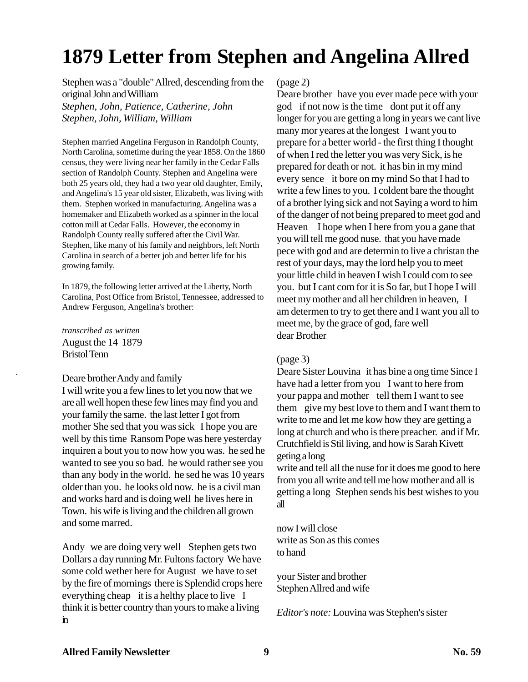## **1879 Letter from Stephen and Angelina Allred**

Stephen was a "double" Allred, descending from the original John and William *Stephen, John, Patience, Catherine, John Stephen, John, William, William*

Stephen married Angelina Ferguson in Randolph County, North Carolina, sometime during the year 1858. On the 1860 census, they were living near her family in the Cedar Falls section of Randolph County. Stephen and Angelina were both 25 years old, they had a two year old daughter, Emily, and Angelina's 15 year old sister, Elizabeth, was living with them. Stephen worked in manufacturing. Angelina was a homemaker and Elizabeth worked as a spinner in the local cotton mill at Cedar Falls. However, the economy in Randolph County really suffered after the Civil War. Stephen, like many of his family and neighbors, left North Carolina in search of a better job and better life for his growing family.

In 1879, the following letter arrived at the Liberty, North Carolina, Post Office from Bristol, Tennessee, addressed to Andrew Ferguson, Angelina's brother:

*transcribed as written* August the 14 1879 Bristol Tenn

## Deare brother Andy and family

I will write you a few lines to let you now that we are all well hopen these few lines may find you and your family the same. the last letter I got from mother She sed that you was sick I hope you are well by this time Ransom Pope was here yesterday inquiren a bout you to now how you was. he sed he wanted to see you so bad. he would rather see you than any body in the world. he sed he was 10 years older than you. he looks old now. he is a civil man and works hard and is doing well he lives here in Town. his wife is living and the children all grown and some marred.

Andy we are doing very well Stephen gets two Dollars a day running Mr. Fultons factory We have some cold wether here for August we have to set by the fire of mornings there is Splendid crops here everything cheap it is a helthy place to live I think it is better country than yours to make a living in

(page 2)

Deare brother have you ever made pece with your god if not now is the time dont put it off any longer for you are getting a long in years we cant live many mor yeares at the longest I want you to prepare for a better world - the first thing I thought of when I red the letter you was very Sick, is he prepared for death or not. it has bin in my mind every sence it bore on my mind So that I had to write a few lines to you. I coldent bare the thought of a brother lying sick and not Saying a word to him of the danger of not being prepared to meet god and Heaven I hope when I here from you a gane that you will tell me good nuse. that you have made pece with god and are determin to live a christan the rest of your days, may the lord help you to meet your little child in heaven I wish I could com to see you. but I cant com for it is So far, but I hope I will meet my mother and all her children in heaven, I am determen to try to get there and I want you all to meet me, by the grace of god, fare well dear Brother

## (page 3)

Deare Sister Louvina it has bine a ong time Since I have had a letter from you I want to here from your pappa and mother tell them I want to see them give my best love to them and I want them to write to me and let me kow how they are getting a long at church and who is there preacher. and if Mr. Crutchfield is Stil living, and how is Sarah Kivett geting a long

write and tell all the nuse for it does me good to here from you all write and tell me how mother and all is getting a long Stephen sends his best wishes to you all

now I will close write as Son as this comes to hand

your Sister and brother Stephen Allred and wife

*Editor's note:* Louvina was Stephen's sister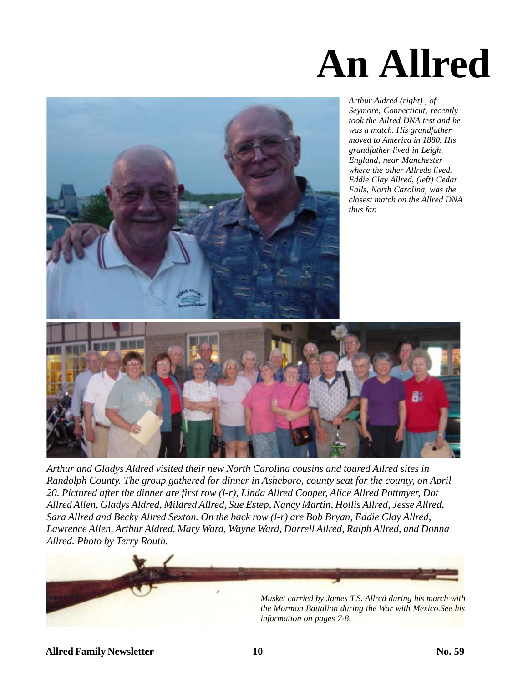



*Arthur Aldred (right) , of Seymore, Connecticut, recently took the Allred DNA test and he was a match. His grandfather moved to America in 1880. His grandfather lived in Leigh, England, near Manchester where the other Allreds lived. Eddie Clay Allred, (left) Cedar Falls, North Carolina, was the closest match on the Allred DNA thus far.*



*Arthur and Gladys Aldred visited their new North Carolina cousins and toured Allred sites in Randolph County. The group gathered for dinner in Asheboro, county seat for the county, on April 20. Pictured after the dinner are first row (l-r), Linda Allred Cooper, Alice Allred Pottmyer, Dot Allred Allen, Gladys Aldred, Mildred Allred, Sue Estep, Nancy Martin, Hollis Allred, Jesse Allred, Sara Allred and Becky Allred Sexton. On the back row (l-r) are Bob Bryan, Eddie Clay Allred, Lawrence Allen, Arthur Aldred, Mary Ward, Wayne Ward, Darrell Allred, Ralph Allred, and Donna Allred. Photo by Terry Routh.*

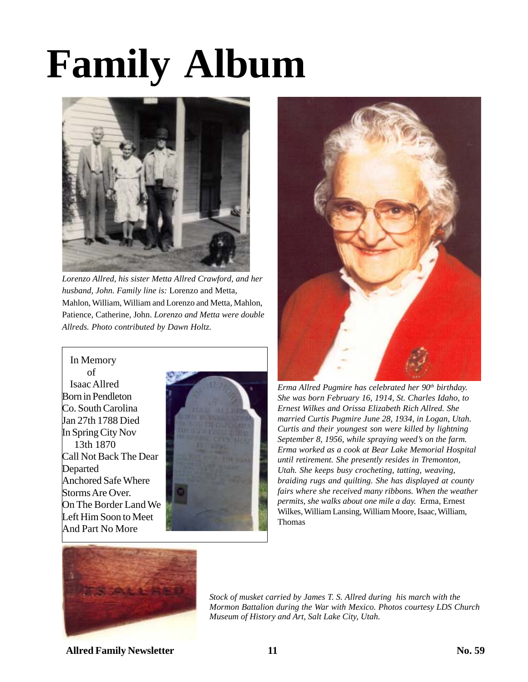# **Family Album**



*Lorenzo Allred, his sister Metta Allred Crawford, and her husband, John. Family line is:* Lorenzo and Metta, Mahlon, William, William and Lorenzo and Metta, Mahlon, Patience, Catherine, John. *Lorenzo and Metta were double Allreds. Photo contributed by Dawn Holtz.*

 In Memory of Isaac Allred Born in Pendleton Co. South Carolina Jan 27th 1788 Died In Spring City Nov 13th 1870 Call Not Back The Dear Departed Anchored Safe Where Storms Are Over. On The Border Land We Left Him Soon to Meet And Part No More





*Erma Allred Pugmire has celebrated her 90th birthday. She was born February 16, 1914, St. Charles Idaho, to Ernest Wilkes and Orissa Elizabeth Rich Allred. She married Curtis Pugmire June 28, 1934, in Logan, Utah. Curtis and their youngest son were killed by lightning September 8, 1956, while spraying weed's on the farm. Erma worked as a cook at Bear Lake Memorial Hospital until retirement. She presently resides in Tremonton, Utah. She keeps busy crocheting, tatting, weaving, braiding rugs and quilting. She has displayed at county fairs where she received many ribbons. When the weather permits, she walks about one mile a day.* Erma, Ernest Wilkes, William Lansing, William Moore, Isaac, William, Thomas



*Stock of musket carried by James T. S. Allred during his march with the Mormon Battalion during the War with Mexico. Photos courtesy LDS Church Museum of History and Art, Salt Lake City, Utah.*

**Allred Family Newsletter 2008 11 2008 11 2008 12:00 11 2008 12:00 12:00 12:00 12:00 12:00 12:00 12:00 12:00 12:00 12:00 12:00 12:00 12:00 12:00 12:00 12:00 12:00 12:00 12:00 12:00 12:00 12:00 12:00 12:00 12:00 12:00 12:00**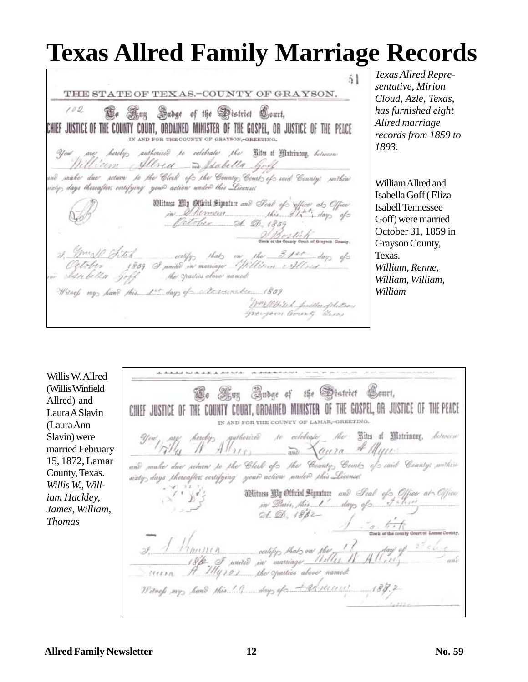## **Texas Allred Family Marriage Records**

 $51$ THE STATE OF TEXAS.-COUNTY OF GRAYSON.  $102$ Ge Any Sudge of the Stistrict Court, CHIEF JUSTICE.OF THE COUNTY COURT, ORDAINED MINISTER OF THE GOSPEL, OR JUSTICE OF THE PEACE IN AND FOR THE COUNTY OF GRAYSON, -GREETING. You are hereby, authorized to celebrate the Litts of Matrimore, between William Allrea a Stabella Gold ad make due return to the Clerk of the Country Court of said Country, within iziy, days thereafter, entifying you@ action under this License!  $\begin{array}{l} \text{Wiltings } \text{up } \text{gptient Spunturt and } \text{lead } \text{efo} \text{ (of } \text{get } \text{ab}) \\ \text{in } \text{Aut } \text{Hence} \\ \text{in } \text{Aut } \text{gen} \text{ (of } \text{b. } \text{in } \text{if } \text{gpt } \text{of} \text{ is } \text{fpt } \text{of} \text{ is } \text{fpt } \text{of} \text{ is } \text{fpt } \text{if } \text{fpt } \text{of} \text{ is } \text{fpt } \text{if } \text{fpt } \text{of } \text{if } \text{fpt }$ Wilnes my hand this 1st days of November 1859 WWW.W. pritterfiletion

*Texas Allred Representative, Mirion Cloud, Azle, Texas, has furnished eight Allred marriage records from 1859 to 1893.*

William Allred and Isabella Goff ( Eliza Isabell Tennessee Goff) were married October 31, 1859 in Grayson County, Texas. *William, Renne, William, William, William*

Willis W. Allred (Willis Winfield Allred) and Laura A Slavin (Laura Ann Slavin) were married February 15, 1872, Lamar County, Texas. *Willis W., William Hackley, James, William, Thomas*

Co Sing Gabge of the Gastrict Court, CHIEF JUSTICE OF THE COUNTY COURT, ORDAINED MINISTER OF THE GOSPEL, OR JUSTICE OF THE PEACE IN AND FOR THE COUNTY OF LAMAR,-GRHETING. to eclobrate the Bites of Matrimony, between authorize  $Alf_{110}$  and  $Af_{2110}$ and make due return to the Clerk of the County Court of said County, within sixty days thereafter certifying your action under this License Witness My Official Signature and Seal of Office at Office  $d. \nL. 1862$  $\begin{picture}(180,10) \put(0,0){\vector(1,0){30}} \put(10,0){\vector(1,0){30}} \put(10,0){\vector(1,0){30}} \put(10,0){\vector(1,0){30}} \put(10,0){\vector(1,0){30}} \put(10,0){\vector(1,0){30}} \put(10,0){\vector(1,0){30}} \put(10,0){\vector(1,0){30}} \put(10,0){\vector(1,0){30}} \put(10,0){\vector(1,0){30}} \put(10,0){\vector(1,0){30}} \put(10,0){\vector($ (1) certify that on the 1 !<br>I united in marriage Hilles 1  $\frac{1}{\sqrt{1+\frac{1}{1+\frac{1}{1+\frac{1}{1+\frac{1}{1+\frac{1}{1+\frac{1}{1+\frac{1}{1+\frac{1}{1+\frac{1}{1+\frac{1}{1+\frac{1}{1+\frac{1}{1+\frac{1}{1+\frac{1}{1+\frac{1}{1+\frac{1}{1+\frac{1}{1+\frac{1}{1+\frac{1}{1+\frac{1}{1+\frac{1}{1+\frac{1}{1+\frac{1}{1+\frac{1}{1+\frac{1}{1+\frac{1}{1+\frac{1}{1+\frac{1}{1+\frac{1}{1+\frac{1}{1+\frac{1}{1+\frac{1}{1+\frac{1}{1+\frac{1}{1+\frac{1}{1+\$ corn A Hyros the opacties above named Witness my hand this ! I day of the security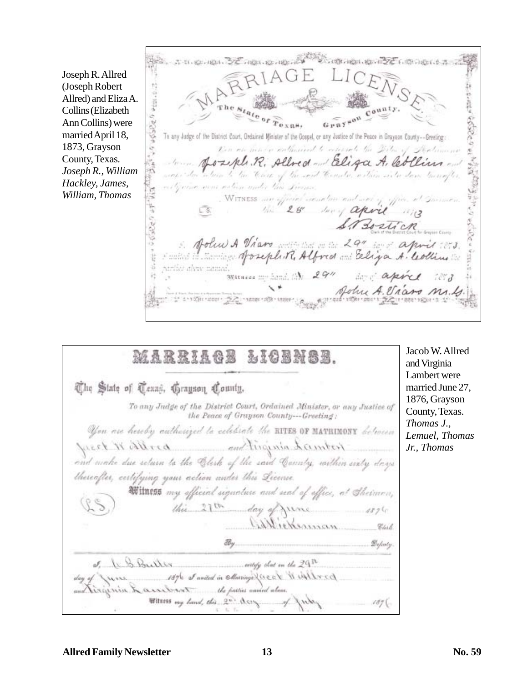Joseph R. Allred (Joseph Robert Allred) and Eliza A. Collins (Elizabeth Ann Collins) were married April 18, 1873, Grayson County, Texas. *Joseph R., William Hackley, James, William, Thomas*

32 mai 10 mb 20 Common on 22 Commons \*tuc.c.2 costo costo  $r_{\rm exan}$ To any Judge of the District Court, Ordained Minister of the Gospel, or any Justice of the Peace in Grayson County--Greeting: Con on main enteries to expect the Dila of Joseph R. Allred and Eliza A. les been to the Hart of the sout Constr. within site down Germa some aution ander this Lives WITNESS are officient arease they can't are to office. In こくじょう コデ the 28" long april 1873 STROSTICK John A Viano 29" april ?? ュ serilar alsay memal. Witness moderation 29" days aper īł, John A. Via 10101103911000

Jacob W. Allred MARRIAGE *LICENSE* and Virginia Lambert were The State of Texas, Grayson County, To any Judge of the District Court, Ordained Minister, or any Justice of the Peace of Grayson County---Greeting: You are hereby authorized to eclebrate the BITES OF MATRIMONY between preced in allegate and linguish hamber and make due return to the Clerk of the said County, within einty days theseafter, certifying your action under this License Witness my official signature and seal of office, at Sheiman, this  $21$ <sup>th</sup> day of  $4876$ Williekenman Cherb.  $\mathcal{B}_{\mathcal{Y}}$ . Definity. 6 S. Bullis 1876 of amided in collating Queer Win Albred in & assistant to the patties annied above. Witness my hand, this 2" Assy. 1876

married June 27, 1876, Grayson County, Texas. *Thomas J., Lemuel, Thomas Jr., Thomas*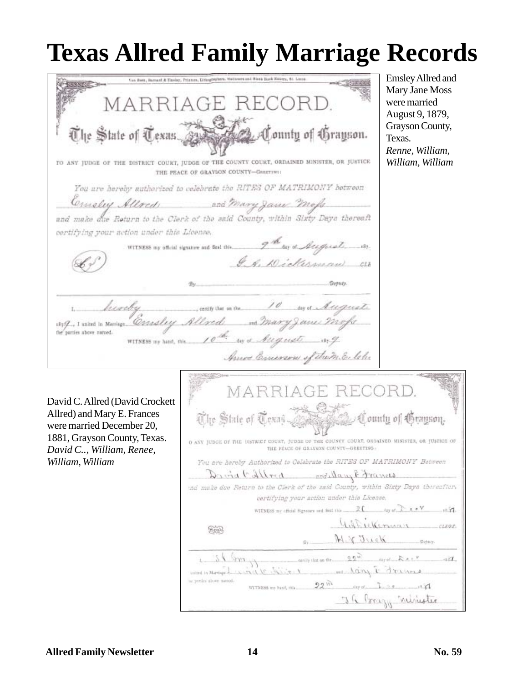## **Texas Allred Family Marriage Records**

Emsley Allred and Van Bert, Barnert & Titoloy, Priamrs, Lis Mary Jane Moss MARRIAGE F were married August 9, 1879, Grayson County, The State of Texas. ountu of áranson. Texas. *Renne, William,* TO ANY JUDGE OF THE DISTRICT COURT, JUDGE OF THE COUNTY COURT, ORDAINED MINISTER, OR JUSTICE *William, William* THE PEACE OF GRAYSON COUNTY-GERETING: You are hereby authorized to celebrate the RITES OF MATRIMONY between and Mary Jame Mofs Comoley Alloch and make due Return to the Clerk of the said County, within Sixty Days thereaft certifying your action under this License. WITNESS my official signature and Seal this 2nd Jay of August. J. R. Dickerman hiveby certify that on the day of August 1879, I united in Mariage Crashey Allred ms Mary Janes Mofs the parties above named. the card Augusts and 10 WITNESS my hand, this ...... Ances Emerson of them Eleh MAR David C. Allred (David Crockett Allred) and Mary E. Frances The State of Texas County of Grayson. were married December 20, 1881, Grayson County, Texas. O ANY JUDGE OF THE DISTRICT COURT, JUDGE OF THE COUNTY COURT, ORDAISED MINISTER, OR JUSTICE OF THE PEACE OF GRAYSON COUNTY--GREETING -*David C.., William, Renee,* You are hereby Authorized to Celebrate the RITES OF MATRIMONY Between *William, William*David Allred sollay Edvances ind make due Return to the Clerk of the asid County, within Sixty Days thereafter, certifying your action under this License.  $N_{\text{min}}$ Gilbretterman  $1.7588$ Scot MYJuck  $\mathcal{D}$ ijang.  $\frac{1}{2}$ entry that on the  $\frac{q\,q\,\overline{\omega}}{q\,\overline{\omega}}$  the set  $\mathbb{R}\times\mathbb{R}$  and  $\overline{\omega}$  $24$  m wind children was hong & draws mitted in Marriage 2 a ponies alove samod.  $22^{10}$  dy of  $1^{12}$ WITNESS are hand, this J. R. Brazy ninister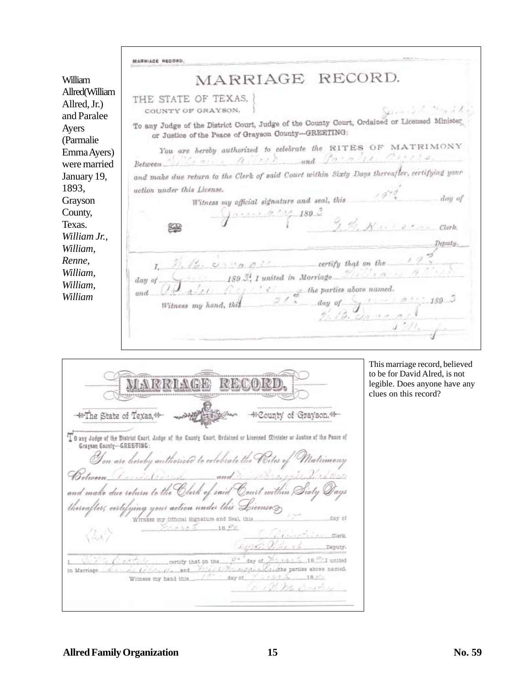|                                               | <b>MARRIAGE REGORD.</b>                                                                                                                                                                             |
|-----------------------------------------------|-----------------------------------------------------------------------------------------------------------------------------------------------------------------------------------------------------|
| William                                       | MARRIAGE RECORD.                                                                                                                                                                                    |
| Allred(William<br>Allred, Jr.)<br>and Paralee | THE STATE OF TEXAS.<br>Girman Const<br>COUNTY OF GRAYSON.                                                                                                                                           |
| Ayers<br>(Parmalie)                           | To any Judge of the District Court, Judge of the County Court, Ordained or Licensed Minister<br>or Justice of the Peace of Grayson County-GREETING:                                                 |
| Emma Ayers)                                   | You are hereby authorized to celebrate the RITES OF MATRIMONY                                                                                                                                       |
| were married                                  | Between Within a allerid and Paradis Bricks                                                                                                                                                         |
| January 19,                                   | and make due return to the Clerk of said Court within Sixty Days thereafter, certifying your                                                                                                        |
| 1893,                                         | action under this License.                                                                                                                                                                          |
| Grayson                                       | day of<br>Witness my official signature and seal, this                                                                                                                                              |
| County,                                       | 189.3                                                                                                                                                                                               |
| Texas.                                        | 9 di Nuisse<br>Clerk.<br>Segle                                                                                                                                                                      |
| William Jr.,                                  | Deputy.                                                                                                                                                                                             |
| William,                                      |                                                                                                                                                                                                     |
| Renne,                                        | $I, \mathcal{H}, \mathcal{H}, \ldots$ on the $\mathcal{H}$                                                                                                                                          |
| William,                                      | $189.3$ , I united in Marriage $21.233$                                                                                                                                                             |
| William,                                      | day of                                                                                                                                                                                              |
| William                                       | $\frac{a}{a}$ of the parties above numed.<br>a my hand, this $\frac{a}{a}$ of $\frac{a}{a}$<br>and<br>day of $\frac{1}{2}$ , $\frac{1}{3}$ , $\frac{1}{3}$ , $\frac{1}{3}$<br>Witness my hand, this |
|                                               | $J''/l_1$                                                                                                                                                                                           |

|                                                         | The State of Texas, <sup>et-</sup>                    |                                              |        | 44 County of Grayson. 44                                                                                                   |
|---------------------------------------------------------|-------------------------------------------------------|----------------------------------------------|--------|----------------------------------------------------------------------------------------------------------------------------|
| Graysen County-GREETING:                                |                                                       |                                              |        | "I B any Judge of the District Coart, Jadge of the Coanty Coart, Brdained or Licensed Stinister or Jastice of the Peace of |
|                                                         |                                                       |                                              |        | You are hereby authorized to celebrate the Poites of Matrimony<br>Between Completered and Saltary first the                |
|                                                         |                                                       |                                              |        | and make due return to the Clerk of said Court within Sixty Q                                                              |
| thereafter, certifying your action under this License @ |                                                       | Witness my Official Signature and Seal, this |        | day of                                                                                                                     |
| $\langle \mathcal{L} s \rangle$                         |                                                       | $7.050 - 18.00$                              |        | Clark<br>wat Viter 1<br>Deputy.                                                                                            |
| in Marriage.                                            | $2\sqrt{2}$ , $2\sqrt{2}$ , $2\sqrt{2}$ , $2\sqrt{2}$ | certify that on the                          |        | day of 2014 rates 18 <sup>0</sup> I united<br>ついよくパイルココンとどれはha parties above named.                                        |
|                                                         | Witness my hand this.                                 |                                              | day of | 18.0°<br>to 1 th be strating                                                                                               |
|                                                         |                                                       |                                              |        |                                                                                                                            |

This marriage record, believed to be for David Alred, is not legible. Does anyone have any clues on this record?

 $\overline{1}$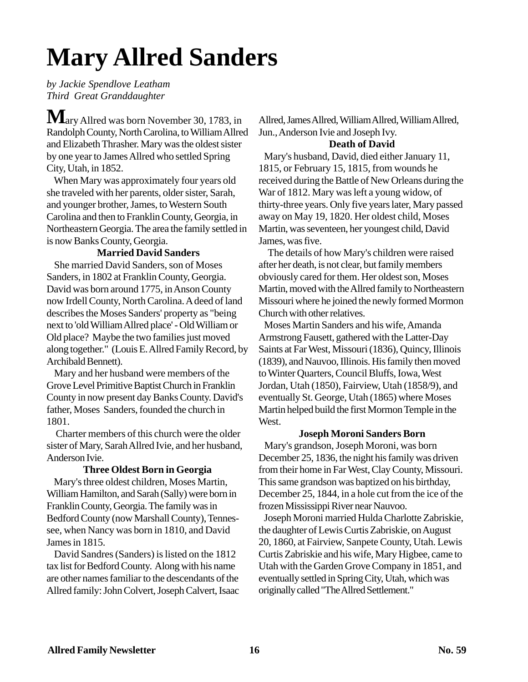# **Mary Allred Sanders**

*by Jackie Spendlove Leatham Third Great Granddaughter*

 $\mathbf{M}{}_{\rm ary \, Allred \, was \, born \, November}$  30, 1783, in Randolph County, North Carolina, to William Allred and Elizabeth Thrasher. Mary was the oldest sister by one year to James Allred who settled Spring City, Utah, in 1852.

 When Mary was approximately four years old she traveled with her parents, older sister, Sarah, and younger brother, James, to Western South Carolina and then to Franklin County, Georgia, in Northeastern Georgia. The area the family settled in is now Banks County, Georgia.

## **Married David Sanders**

 She married David Sanders, son of Moses Sanders, in 1802 at Franklin County, Georgia. David was born around 1775, in Anson County now Irdell County, North Carolina. A deed of land describes the Moses Sanders' property as "being next to 'old William Allred place' - Old William or Old place? Maybe the two families just moved along together." (Louis E. Allred Family Record, by Archibald Bennett).

 Mary and her husband were members of the Grove Level Primitive Baptist Church in Franklin County in now present day Banks County. David's father, Moses Sanders, founded the church in 1801.

 Charter members of this church were the older sister of Mary, Sarah Allred Ivie, and her husband, Anderson Ivie.

## **Three Oldest Born in Georgia**

 Mary's three oldest children, Moses Martin, William Hamilton, and Sarah (Sally) were born in Franklin County, Georgia. The family was in Bedford County (now Marshall County), Tennessee, when Nancy was born in 1810, and David James in 1815.

 David Sandres (Sanders) is listed on the 1812 tax list for Bedford County. Along with his name are other names familiar to the descendants of the Allred family: John Colvert, Joseph Calvert, Isaac Allred, James Allred, William Allred, William Allred, Jun., Anderson Ivie and Joseph Ivy.

## **Death of David**

 Mary's husband, David, died either January 11, 1815, or February 15, 1815, from wounds he received during the Battle of New Orleans during the War of 1812. Mary was left a young widow, of thirty-three years. Only five years later, Mary passed away on May 19, 1820. Her oldest child, Moses Martin, was seventeen, her youngest child, David James, was five.

 The details of how Mary's children were raised after her death, is not clear, but family members obviously cared for them. Her oldest son, Moses Martin, moved with the Allred family to Northeastern Missouri where he joined the newly formed Mormon Church with other relatives.

 Moses Martin Sanders and his wife, Amanda Armstrong Fausett, gathered with the Latter-Day Saints at Far West, Missouri (1836), Quincy, Illinois (1839), and Nauvoo, Illinois. His family then moved to Winter Quarters, Council Bluffs, Iowa, West Jordan, Utah (1850), Fairview, Utah (1858/9), and eventually St. George, Utah (1865) where Moses Martin helped build the first Mormon Temple in the West.

## **Joseph Moroni Sanders Born**

 Mary's grandson, Joseph Moroni, was born December 25, 1836, the night his family was driven from their home in Far West, Clay County, Missouri. This same grandson was baptized on his birthday, December 25, 1844, in a hole cut from the ice of the frozen Mississippi River near Nauvoo.

 Joseph Moroni married Hulda Charlotte Zabriskie, the daughter of Lewis Curtis Zabriskie, on August 20, 1860, at Fairview, Sanpete County, Utah. Lewis Curtis Zabriskie and his wife, Mary Higbee, came to Utah with the Garden Grove Company in 1851, and eventually settled in Spring City, Utah, which was originally called "The Allred Settlement."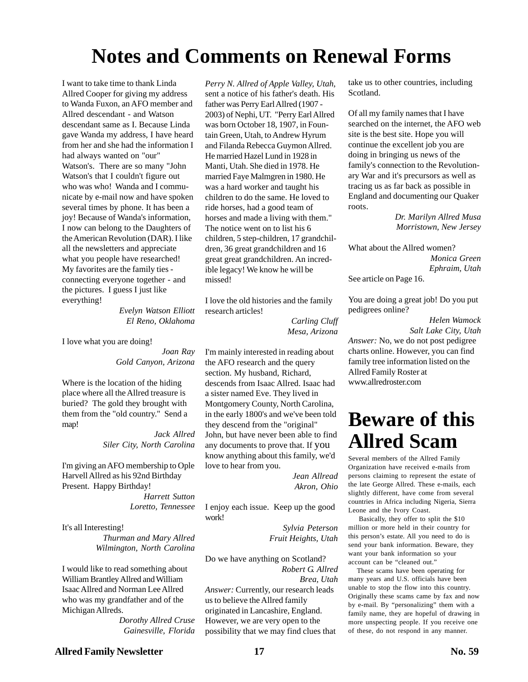## **Notes and Comments on Renewal Forms**

I want to take time to thank Linda Allred Cooper for giving my address to Wanda Fuxon, an AFO member and Allred descendant - and Watson descendant same as I. Because Linda gave Wanda my address, I have heard from her and she had the information I had always wanted on "our" Watson's. There are so many "John Watson's that I couldn't figure out who was who! Wanda and I communicate by e-mail now and have spoken several times by phone. It has been a joy! Because of Wanda's information, I now can belong to the Daughters of the American Revolution (DAR). I like all the newsletters and appreciate what you people have researched! My favorites are the family ties connecting everyone together - and the pictures. I guess I just like everything!

> *Evelyn Watson Elliott El Reno, Oklahoma*

I love what you are doing!

*Joan Ray Gold Canyon, Arizona*

Where is the location of the hiding place where all the Allred treasure is buried? The gold they brought with them from the "old country." Send a map!

> *Jack Allred Siler City, North Carolina*

I'm giving an AFO membership to Ople Harvell Allred as his 92nd Birthday Present. Happy Birthday!

*Harrett Sutton Loretto, Tennessee*

It's all Interesting!

*Thurman and Mary Allred Wilmington, North Carolina*

I would like to read something about William Brantley Allred and William Isaac Allred and Norman Lee Allred who was my grandfather and of the Michigan Allreds.

> *Dorothy Allred Cruse Gainesville, Florida*

*Perry N. Allred of Apple Valley, Utah*, sent a notice of his father's death. His father was Perry Earl Allred (1907 - 2003) of Nephi, UT. "Perry Earl Allred was born October 18, 1907, in Fountain Green, Utah, to Andrew Hyrum and Filanda Rebecca Guymon Allred. He married Hazel Lund in 1928 in Manti, Utah. She died in 1978. He married Faye Malmgren in 1980. He was a hard worker and taught his children to do the same. He loved to ride horses, had a good team of horses and made a living with them." The notice went on to list his 6 children, 5 step-children, 17 grandchildren, 36 great grandchildren and 16 great great grandchildren. An incredible legacy! We know he will be missed!

I love the old histories and the family research articles!

> *Carling Cluff Mesa, Arizona*

I'm mainly interested in reading about the AFO research and the query section. My husband, Richard, descends from Isaac Allred. Isaac had a sister named Eve. They lived in Montgomery County, North Carolina, in the early 1800's and we've been told they descend from the "original" John, but have never been able to find any documents to prove that. If you know anything about this family, we'd love to hear from you.

> *Jean Allread Akron, Ohio*

I enjoy each issue. Keep up the good work!

> *Sylvia Peterson Fruit Heights, Utah*

Do we have anything on Scotland? *Robert G. Allred Brea, Utah*

*Answer:* Currently, our research leads us to believe the Allred family originated in Lancashire, England. However, we are very open to the possibility that we may find clues that take us to other countries, including Scotland.

Of all my family names that I have searched on the internet, the AFO web site is the best site. Hope you will continue the excellent job you are doing in bringing us news of the family's connection to the Revolutionary War and it's precursors as well as tracing us as far back as possible in England and documenting our Quaker roots.

> *Dr. Marilyn Allred Musa Morristown, New Jersey*

What about the Allred women? *Monica Green Ephraim, Utah* See article on Page 16.

You are doing a great job! Do you put pedigrees online?

*Helen Wamock Salt Lake City, Utah Answer:* No, we do not post pedigree charts online. However, you can find family tree information listed on the Allred Family Roster at www.allredroster.com

## **Beware of this Allred Scam**

Several members of the Allred Family Organization have received e-mails from persons claiming to represent the estate of the late George Allred. These e-mails, each slightly different, have come from several countries in Africa including Nigeria, Sierra Leone and the Ivory Coast.

 Basically, they offer to split the \$10 million or more held in their country for this person's estate. All you need to do is send your bank information. Beware, they want your bank information so your account can be "cleaned out."

 These scams have been operating for many years and U.S. officials have been unable to stop the flow into this country. Originally these scams came by fax and now by e-mail. By "personalizing" them with a family name, they are hopeful of drawing in more unspecting people. If you receive one of these, do not respond in any manner.

## **Allred Family Newsletter 17 No. 59**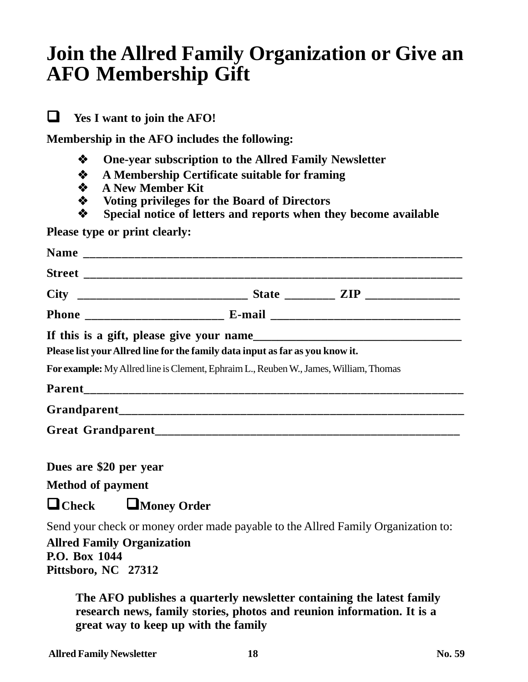## **Join the Allred Family Organization or Give an AFO Membership Gift**

**Yes I want to join the AFO!**

**Membership in the AFO includes the following:**

- **One-year subscription to the Allred Family Newsletter**
- **A Membership Certificate suitable for framing**
- **A New Member Kit**
- **Voting privileges for the Board of Directors**
- **Special notice of letters and reports when they become available**

**Please type or print clearly:**

|                                                            | If this is a gift, please give your name<br>Please list your Allred line for the family data input as far as you know it. |  |
|------------------------------------------------------------|---------------------------------------------------------------------------------------------------------------------------|--|
|                                                            | For example: My Allred line is Clement, Ephraim L., Reuben W., James, William, Thomas                                     |  |
|                                                            |                                                                                                                           |  |
|                                                            |                                                                                                                           |  |
|                                                            |                                                                                                                           |  |
|                                                            |                                                                                                                           |  |
| Dues are \$20 per year                                     |                                                                                                                           |  |
| <b>Method of payment</b>                                   |                                                                                                                           |  |
| $\mathbf{D}_{\alpha}$ , $\mathbf{D}_{\alpha}$ , $\alpha$ , |                                                                                                                           |  |

**Check Money Order**

Send your check or money order made payable to the Allred Family Organization to:

**Allred Family Organization P.O. Box 1044 Pittsboro, NC 27312**

> **The AFO publishes a quarterly newsletter containing the latest family research news, family stories, photos and reunion information. It is a great way to keep up with the family**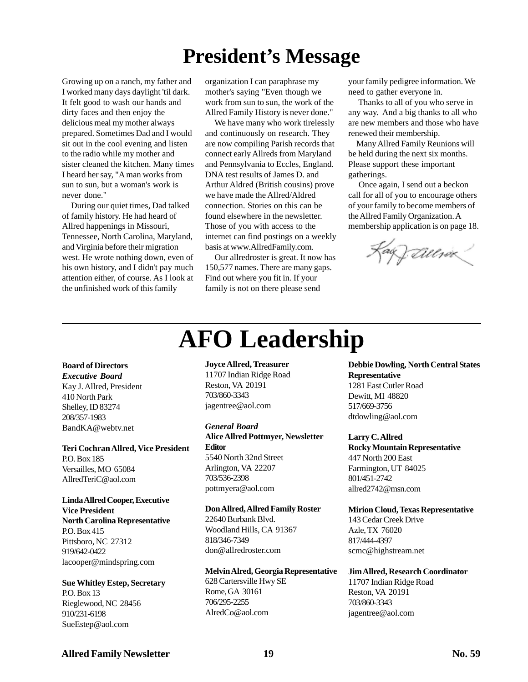## **President's Message**

Growing up on a ranch, my father and I worked many days daylight 'til dark. It felt good to wash our hands and dirty faces and then enjoy the delicious meal my mother always prepared. Sometimes Dad and I would sit out in the cool evening and listen to the radio while my mother and sister cleaned the kitchen. Many times I heard her say, "A man works from sun to sun, but a woman's work is never done."

 During our quiet times, Dad talked of family history. He had heard of Allred happenings in Missouri, Tennessee, North Carolina, Maryland, and Virginia before their migration west. He wrote nothing down, even of his own history, and I didn't pay much attention either, of course. As I look at the unfinished work of this family

organization I can paraphrase my mother's saying "Even though we work from sun to sun, the work of the Allred Family History is never done."

 We have many who work tirelessly and continuously on research. They are now compiling Parish records that connect early Allreds from Maryland and Pennsylvania to Eccles, England. DNA test results of James D. and Arthur Aldred (British cousins) prove we have made the Allred/Aldred connection. Stories on this can be found elsewhere in the newsletter. Those of you with access to the internet can find postings on a weekly basis at www.AllredFamily.com.

 Our allredroster is great. It now has 150,577 names. There are many gaps. Find out where you fit in. If your family is not on there please send

**AFO Leadership**

your family pedigree information. We need to gather everyone in.

 Thanks to all of you who serve in any way. And a big thanks to all who are new members and those who have renewed their membership.

 Many Allred Family Reunions will be held during the next six months. Please support these important gatherings.

 Once again, I send out a beckon call for all of you to encourage others of your family to become members of the Allred Family Organization. A membership application is on page 18.

Kag Lillsex

#### **Board of Directors**

*Executive Board* Kay J. Allred, President 410 North Park Shelley, ID 83274 208/357-1983 BandKA@webtv.net

#### **Teri Cochran Allred, Vice President** P.O. Box 185 Versailles, MO 65084

AllredTeriC@aol.com

#### **Linda Allred Cooper, Executive Vice President North Carolina Representative** P.O. Box 415

Pittsboro, NC 27312 919/642-0422 lacooper@mindspring.com

#### **Sue Whitley Estep, Secretary** P.O. Box 13

Rieglewood, NC 28456 910/231-6198 SueEstep@aol.com

#### **Joyce Allred, Treasurer**

11707 Indian Ridge Road Reston, VA 20191 703/860-3343 jagentree@aol.com

#### *General Board*

**Alice Allred Pottmyer, Newsletter Editor** 5540 North 32nd Street Arlington, VA 22207 703/536-2398 pottmyera@aol.com

#### **Don Allred, Allred Family Roster**

22640 Burbank Blvd. Woodland Hills, CA 91367 818/346-7349 don@allredroster.com

### **Melvin Alred, Georgia Representative**

628 Cartersville Hwy SE Rome, GA 30161 706/295-2255 AlredCo@aol.com

**Debbie Dowling, North Central States Representative** 1281 East Cutler Road Dewitt, MI 48820 517/669-3756

dtdowling@aol.com

**Larry C. Allred Rocky Mountain Representative** 447 North 200 East Farmington, UT 84025 801/451-2742 allred2742@msn.com

#### **Mirion Cloud, Texas Representative**

143 Cedar Creek Drive Azle, TX 76020 817/444-4397 scmc@highstream.net

**Jim Allred, Research Coordinator** 11707 Indian Ridge Road Reston, VA 20191 703/860-3343 jagentree@aol.com

## Allred Family Newsletter 19 19